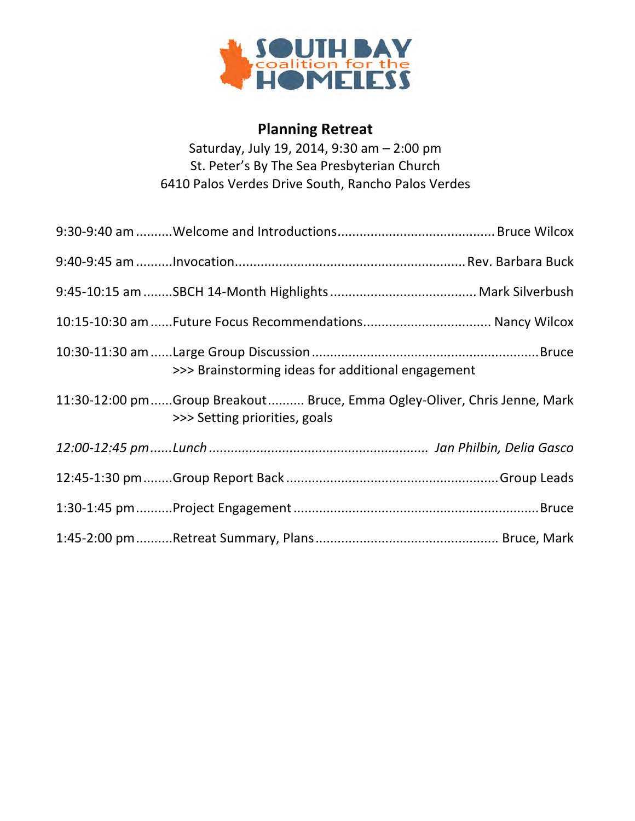

## **Planning Retreat**

Saturday, July 19, 2014, 9:30 am - 2:00 pm St. Peter's By The Sea Presbyterian Church 6410 Palos Verdes Drive South, Rancho Palos Verdes

| >>> Brainstorming ideas for additional engagement                                                         |
|-----------------------------------------------------------------------------------------------------------|
| 11:30-12:00 pmGroup Breakout Bruce, Emma Ogley-Oliver, Chris Jenne, Mark<br>>>> Setting priorities, goals |
|                                                                                                           |
|                                                                                                           |
|                                                                                                           |
|                                                                                                           |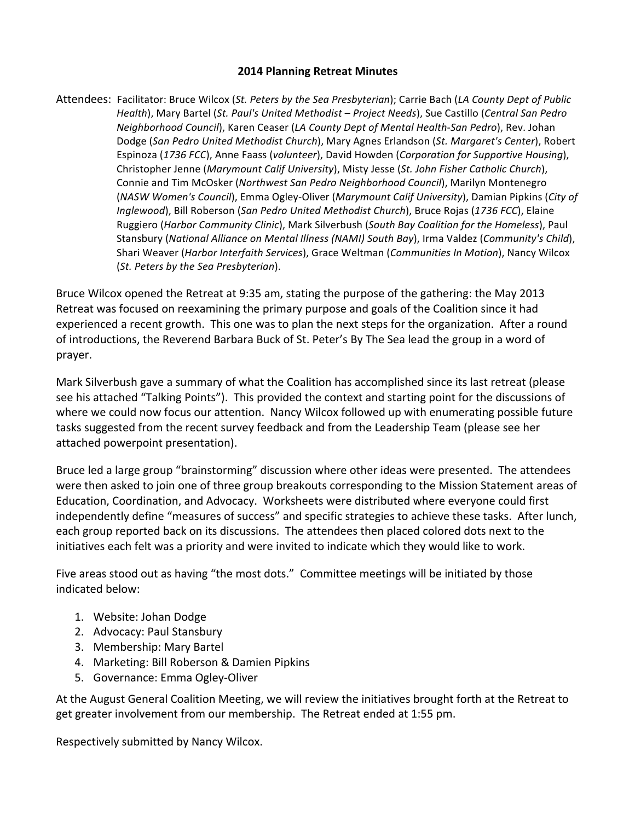#### **2014 Planning Retreat Minutes**

Attendees: Facilitator: Bruce Wilcox (*St. Peters by the Sea Presbyterian*); Carrie Bach (*LA County Dept of Public Health*), Mary Bartel (St. Paul's United Methodist - Project Needs), Sue Castillo (Central San Pedro *Neighborhood Council*), Karen Ceaser (*LA County Dept of Mental Health-San Pedro*), Rev. Johan Dodge (San Pedro United Methodist Church), Mary Agnes Erlandson (St. Margaret's Center), Robert Espinoza (1736 FCC), Anne Faass (*volunteer*), David Howden (*Corporation for Supportive Housing*), Christopher Jenne (Marymount Calif University), Misty Jesse (St. John Fisher Catholic Church), Connie and Tim McOsker (Northwest San Pedro Neighborhood Council), Marilyn Montenegro (*NASW Women's Council*), Emma Ogley-Oliver (*Marymount Calif University*), Damian Pipkins (*City of Inglewood*), Bill Roberson (*San Pedro United Methodist Church*), Bruce Rojas (1736 FCC), Elaine Ruggiero (Harbor Community Clinic), Mark Silverbush (South Bay Coalition for the Homeless), Paul Stansbury (National Alliance on Mental Illness (NAMI) South Bay), Irma Valdez (Community's Child), Shari Weaver (Harbor Interfaith Services), Grace Weltman (Communities In Motion), Nancy Wilcox (*St. Peters by the Sea Presbyterian*).

Bruce Wilcox opened the Retreat at 9:35 am, stating the purpose of the gathering: the May 2013 Retreat was focused on reexamining the primary purpose and goals of the Coalition since it had experienced a recent growth. This one was to plan the next steps for the organization. After a round of introductions, the Reverend Barbara Buck of St. Peter's By The Sea lead the group in a word of prayer.

Mark Silverbush gave a summary of what the Coalition has accomplished since its last retreat (please see his attached "Talking Points"). This provided the context and starting point for the discussions of where we could now focus our attention. Nancy Wilcox followed up with enumerating possible future tasks suggested from the recent survey feedback and from the Leadership Team (please see her attached powerpoint presentation).

Bruce led a large group "brainstorming" discussion where other ideas were presented. The attendees were then asked to join one of three group breakouts corresponding to the Mission Statement areas of Education, Coordination, and Advocacy. Worksheets were distributed where everyone could first independently define "measures of success" and specific strategies to achieve these tasks. After lunch, each group reported back on its discussions. The attendees then placed colored dots next to the initiatives each felt was a priority and were invited to indicate which they would like to work.

Five areas stood out as having "the most dots." Committee meetings will be initiated by those indicated below:

- 1. Website: Johan Dodge
- 2. Advocacy: Paul Stansbury
- 3. Membership: Mary Bartel
- 4. Marketing: Bill Roberson & Damien Pipkins
- 5. Governance: Emma Ogley-Oliver

At the August General Coalition Meeting, we will review the initiatives brought forth at the Retreat to get greater involvement from our membership. The Retreat ended at 1:55 pm.

Respectively submitted by Nancy Wilcox.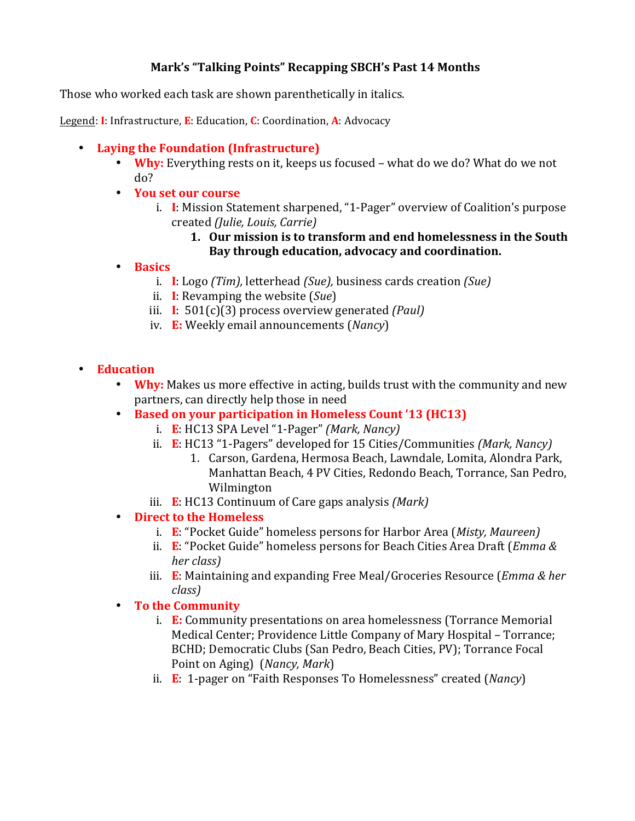## **Mark's "Talking Points" Recapping SBCH's Past 14 Months**

Those who worked each task are shown parenthetically in italics.

Legend: **I**: Infrastructure, **E**: Education, **C**: Coordination, **A**: Advocacy

## • Laying the Foundation (Infrastructure)

- **Why:** Everything rests on it, keeps us focused what do we do? What do we not do?
- **You set our course**
	- i. **I**: Mission Statement sharpened, "1-Pager" overview of Coalition's purpose created *(Julie, Louis, Carrie)*
		- 1. Our mission is to transform and end homelessness in the South Bay through education, advocacy and coordination.
- **Basics**
	- i. **I**: Logo *(Tim)*, letterhead *(Sue)*, business cards creation *(Sue)*
	- ii. **I**: Revamping the website (*Sue*)
	- iii. **I**: 501(c)(3) process overview generated *(Paul)*
	- iv. **E:** Weekly email announcements (*Nancy*)
- **Education**
	- **Why:** Makes us more effective in acting, builds trust with the community and new partners, can directly help those in need
	- **Based on your participation in Homeless Count '13 (HC13)**
		- i. **E**: HC13 SPA Level "1-Pager" *(Mark, Nancy)*
		- ii. **E**: HC13 "1-Pagers" developed for 15 Cities/Communities *(Mark, Nancy)* 
			- 1. Carson, Gardena, Hermosa Beach, Lawndale, Lomita, Alondra Park, Manhattan Beach, 4 PV Cities, Redondo Beach, Torrance, San Pedro, Wilmington
		- iii. **E**: HC13 Continuum of Care gaps analysis *(Mark)*
	- Direct to the Homeless
		- i. **E**: "Pocket Guide" homeless persons for Harbor Area (*Misty, Maureen*)
		- ii. **E**: "Pocket Guide" homeless persons for Beach Cities Area Draft (*Emma & her class)*
		- iii. **E**: Maintaining and expanding Free Meal/Groceries Resource (*Emma & her class)*
	- To the Community
		- i. **E:** Community presentations on area homelessness (Torrance Memorial Medical Center: Providence Little Company of Mary Hospital – Torrance: BCHD; Democratic Clubs (San Pedro, Beach Cities, PV); Torrance Focal Point on Aging) (*Nancy*, *Mark*)
		- ii. **E**: 1-pager on "Faith Responses To Homelessness" created (*Nancy*)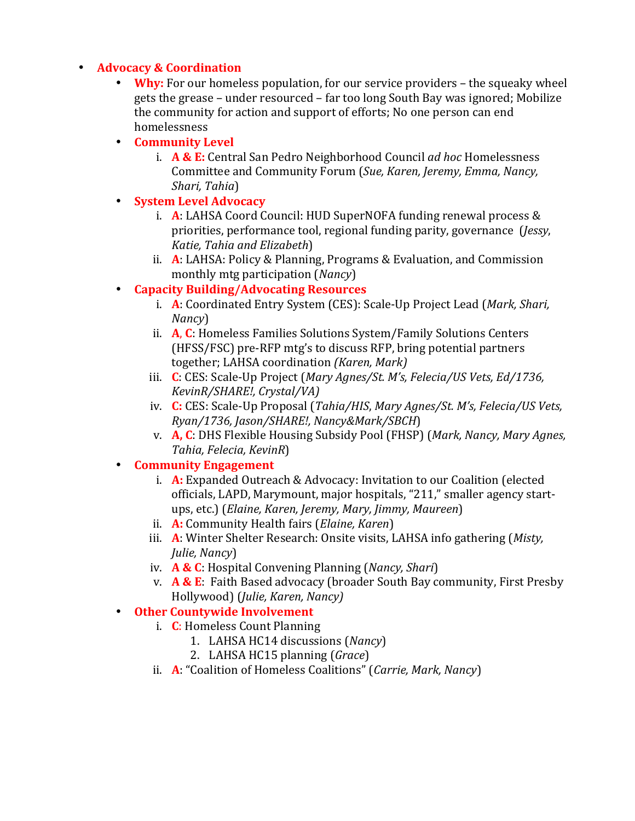## • **Advocacy & Coordination**

• **Why:** For our homeless population, for our service providers – the squeaky wheel gets the grease – under resourced – far too long South Bay was ignored; Mobilize the community for action and support of efforts; No one person can end homelessness

## • **Community Level**

- i. **A & E:** Central San Pedro Neighborhood Council *ad hoc* Homelessness Committee and Community Forum (Sue, Karen, Jeremy, Emma, Nancy, *Shari, Tahia*)
- **System Level Advocacy**
	- i. **A**: LAHSA Coord Council: HUD SuperNOFA funding renewal process & priorities, performance tool, regional funding parity, governance (*Jessy*, *Katie, Tahia and Elizabeth*)
	- ii. **A**: LAHSA: Policy & Planning, Programs & Evaluation, and Commission monthly mtg participation *(Nancy)*
- **Capacity Building/Advocating Resources** 
	- i. **A**: Coordinated Entry System (CES): Scale-Up Project Lead (*Mark, Shari, Nancy*)
	- ii. **A, C**: Homeless Families Solutions System/Family Solutions Centers (HFSS/FSC) pre-RFP mtg's to discuss RFP, bring potential partners together; LAHSA coordination *(Karen, Mark)*
	- iii. **C**: CES: Scale-Up Project (*Mary Agnes/St. M's, Felecia/US Vets, Ed/1736, KevinR/SHARE!, Crystal/VA)*
	- iv. **C:** CES: Scale-Up Proposal (*Tahia/HIS, Mary Agnes/St. M's, Felecia/US Vets, Ryan/1736, Jason/SHARE!, Nancy&Mark/SBCH*)
	- v. **A, C**: DHS Flexible Housing Subsidy Pool (FHSP) (Mark, Nancy, Mary Agnes, *Tahia, Felecia, KevinR*)

## • **Community Engagement**

- i. **A:** Expanded Outreach & Advocacy: Invitation to our Coalition (elected officials, LAPD, Marymount, major hospitals, "211," smaller agency startups, etc.) (*Elaine, Karen, Jeremy, Mary, Jimmy, Maureen*)
- ii. **A:** Community Health fairs (*Elaine, Karen*)
- iii. **A**: Winter Shelter Research: Onsite visits, LAHSA info gathering (*Misty*, *Julie, Nancy*)
- iv. **A & C**: Hospital Convening Planning (*Nancy, Shari*)
- v. **A & E**: Faith Based advocacy (broader South Bay community, First Presby Hollywood) (*Julie, Karen, Nancy)*
- **Other Countywide Involvement**
	- i. **C**: Homeless Count Planning
		- 1. LAHSA HC14 discussions (*Nancy*)
		- 2. LAHSA HC15 planning (*Grace*)
	- ii. **A**: "Coalition of Homeless Coalitions" (*Carrie, Mark, Nancy*)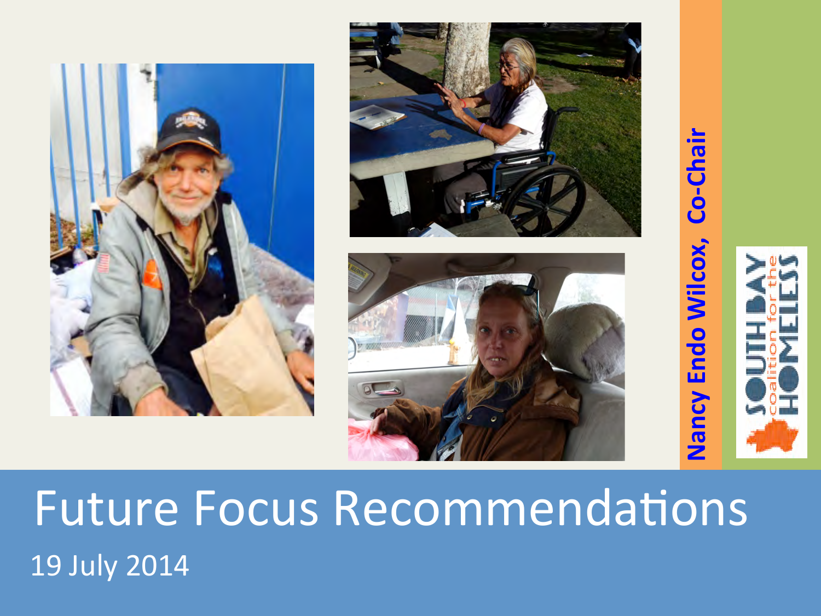







**Nancy Endo Wilcox, Co-Chair**

Nancy Endo Wilcox, Co-Chair

# **Future Focus Recommendations**  19 July 2014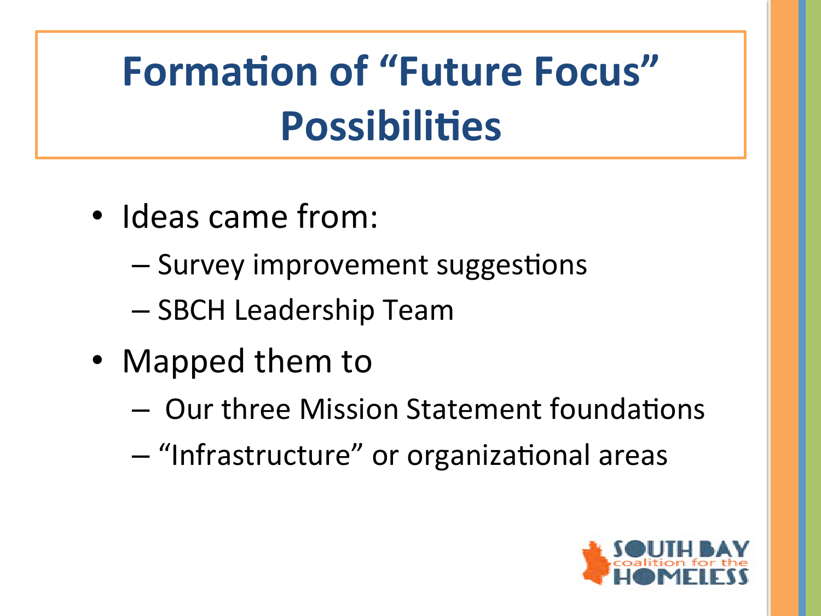# **Formation of "Future Focus" Possibilities**

- Ideas came from:
	- Survey improvement suggestions
	- SBCH Leadership Team
- Mapped them to
	- $-$  Our three Mission Statement foundations
	- $-$  "Infrastructure" or organizational areas

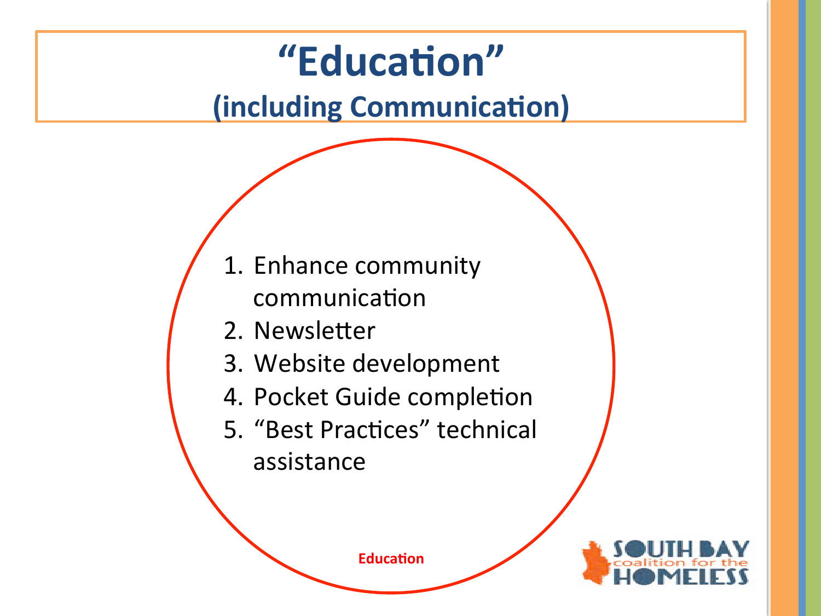## "Education"

## **(including Communication)**

- 1. Enhance community communication
- 2. Newsletter
- 3. Website development
- 4. Pocket Guide completion
- 5. "Best Practices" technical assistance

**Education** 

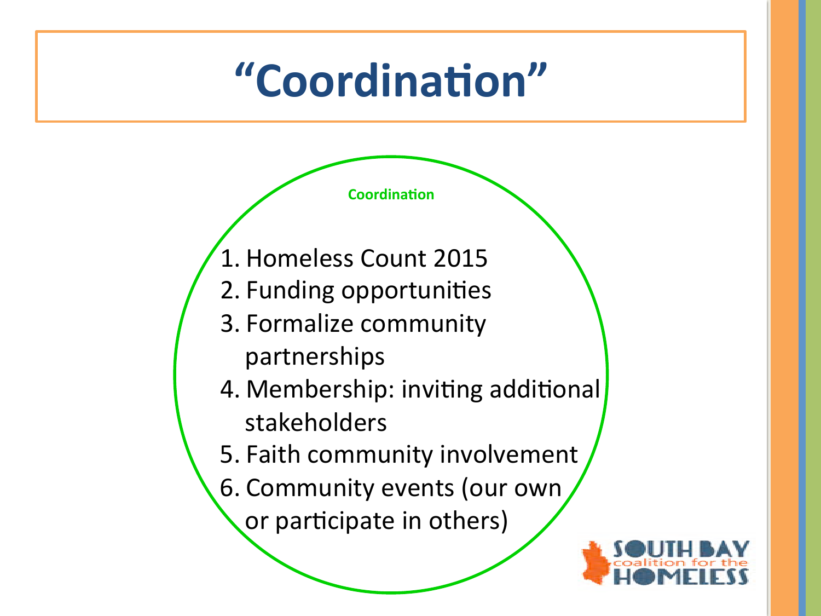# **"Coordina5on"**

**Coordination** 

- 1. Homeless Count 2015
- 2. Funding opportunities
- 3. Formalize community partnerships
	-
- 4. Membership: inviting additional stakeholders
- 5. Faith community involvement
- 6. Community events (our own

or participate in others)

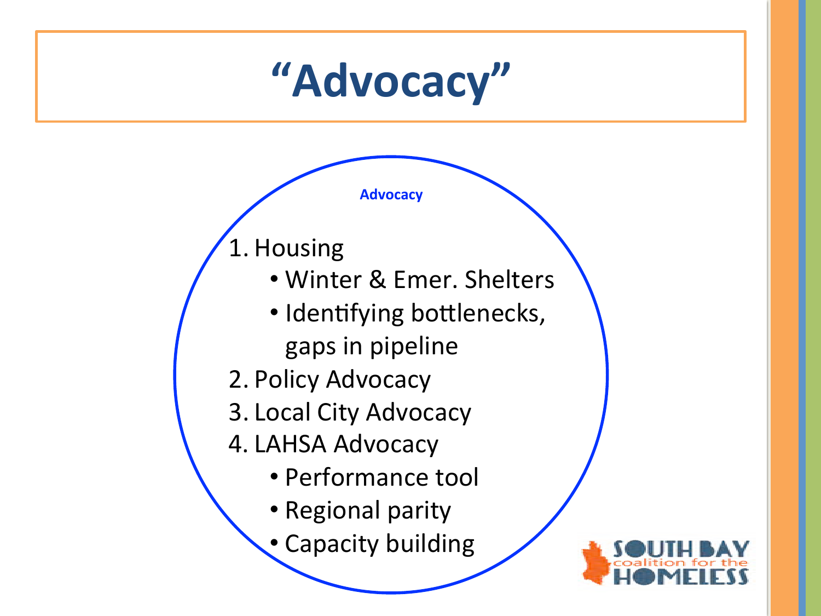# **"Advocacy"**

**Advocacy** 

1. Housing 

- Winter & Emer. Shelters
- Identifying bottlenecks, gaps in pipeline
- 2. Policy Advocacy
- 3. Local City Advocacy
- 4. LAHSA Advocacy
	- Performance tool
	- Regional parity
	- Capacity building

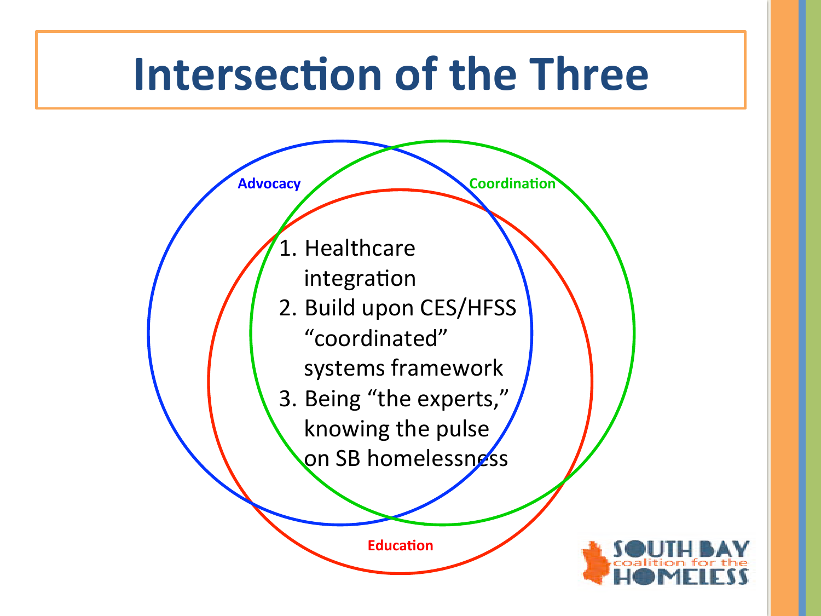## **Intersection of the Three**

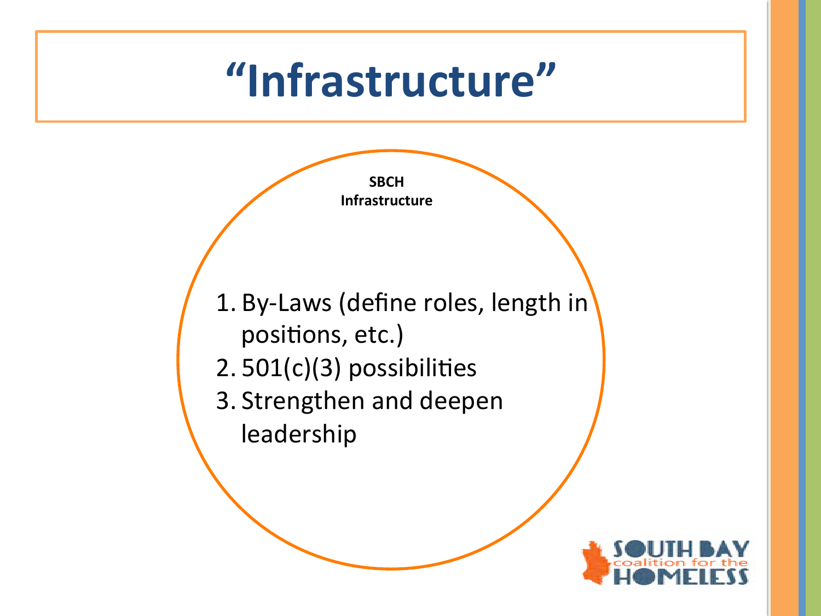## **"Infrastructure"**



- $2.501(c)(3)$  possibilities
- 3. Strengthen and deepen leadership

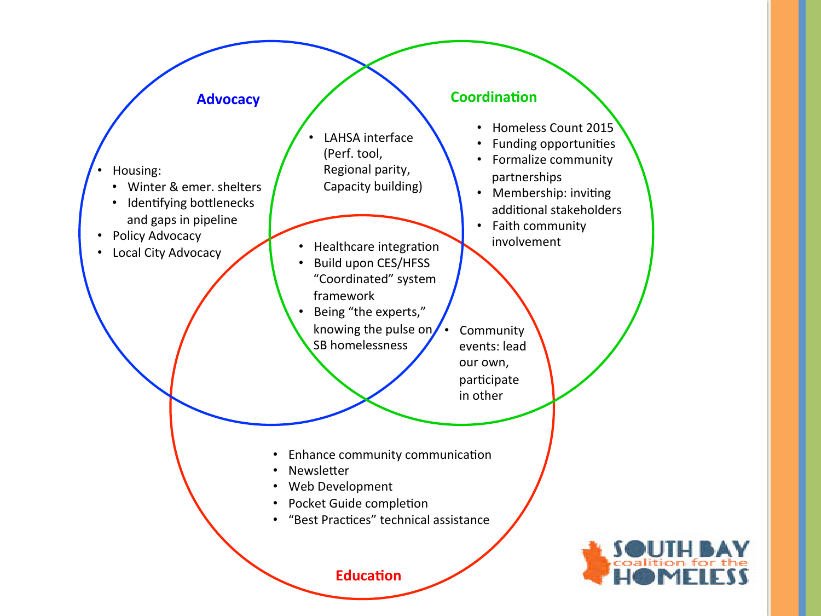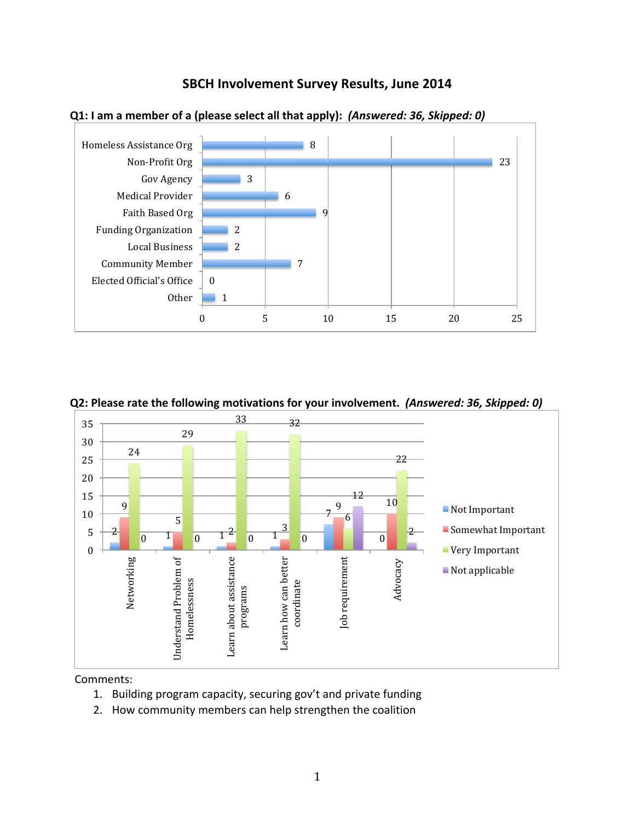







**Q2: Please rate the following motivations for your involvement. (Answered: 36, Skipped: 0)** 

Comments:

- 1. Building program capacity, securing gov't and private funding
- 2. How community members can help strengthen the coalition